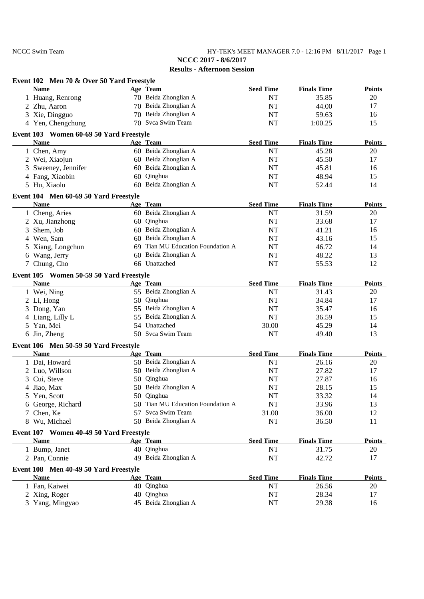NCCC Swim Team HY-TEK's MEET MANAGER 7.0 - 12:16 PM 8/11/2017 Page 1 **NCCC 2017 - 8/6/2017**

| Event 102 Men 70 & Over 50 Yard Freestyle              |                                   |                  |                    |               |
|--------------------------------------------------------|-----------------------------------|------------------|--------------------|---------------|
| <b>Name</b>                                            | Age Team                          | <b>Seed Time</b> | <b>Finals Time</b> | <b>Points</b> |
| 1 Huang, Renrong                                       | 70 Beida Zhonglian A              | NT               | 35.85              | 20            |
| 2 Zhu, Aaron                                           | 70 Beida Zhonglian A              | NT               | 44.00              | 17            |
| 3 Xie, Dingguo                                         | 70 Beida Zhonglian A              | NT               | 59.63              | 16            |
| 4 Yen, Chengchung                                      | 70 Svca Swim Team                 | NT               | 1:00.25            | 15            |
| Event 103 Women 60-69 50 Yard Freestyle                |                                   |                  |                    |               |
| <b>Name</b>                                            | Age Team                          | <b>Seed Time</b> | <b>Finals Time</b> | <b>Points</b> |
| 1 Chen, Amy                                            | 60 Beida Zhonglian A              | NT               | 45.28              | 20            |
| 2 Wei, Xiaojun                                         | 60 Beida Zhonglian A              | NT               | 45.50              | 17            |
| Sweeney, Jennifer<br>3                                 | 60 Beida Zhonglian A              | NT               | 45.81              | 16            |
| 4 Fang, Xiaobin                                        | 60 Qinghua                        | NT               | 48.94              | 15            |
| 5 Hu, Xiaolu                                           | 60 Beida Zhonglian A              | <b>NT</b>        | 52.44              | 14            |
| Event 104 Men 60-69 50 Yard Freestyle                  |                                   |                  |                    |               |
| <b>Name</b>                                            | Age Team                          | <b>Seed Time</b> | <b>Finals Time</b> | <b>Points</b> |
| 1 Cheng, Aries                                         | 60 Beida Zhonglian A              | NT               | 31.59              | 20            |
| 2 Xu, Jianzhong                                        | 60 Qinghua                        | NT               | 33.68              | 17            |
| Shem, Job<br>3                                         | 60 Beida Zhonglian A              | NT               | 41.21              | 16            |
| 4 Wen, Sam                                             | 60 Beida Zhonglian A              | NT               | 43.16              | 15            |
| 5 Xiang, Longchun                                      | 69 Tian MU Education Foundation A | NT               | 46.72              | 14            |
| 6 Wang, Jerry                                          | 60 Beida Zhonglian A              | NT               | 48.22              | 13            |
| 7 Chung, Cho                                           | 66 Unattached                     | <b>NT</b>        | 55.53              | 12            |
| Event 105 Women 50-59 50 Yard Freestyle                |                                   |                  |                    |               |
| <b>Name</b>                                            | Age Team                          | <b>Seed Time</b> | <b>Finals Time</b> | <b>Points</b> |
| 1 Wei, Ning                                            | 55 Beida Zhonglian A              | NT               | 31.43              | 20            |
| 2 Li, Hong                                             | 50 Qinghua                        | NT               | 34.84              | 17            |
| 3 Dong, Yan                                            | 55 Beida Zhonglian A              | NT               | 35.47              | 16            |
| 4 Liang, Lilly L                                       | 55 Beida Zhonglian A              | <b>NT</b>        | 36.59              | 15            |
| 5 Yan, Mei                                             | 54 Unattached                     | 30.00            | 45.29              | 14            |
| 6 Jin, Zheng                                           | 50 Svca Swim Team                 | NT               | 49.40              | 13            |
|                                                        |                                   |                  |                    |               |
| Event 106 Men 50-59 50 Yard Freestyle<br><b>Name</b>   | Age Team                          | <b>Seed Time</b> | <b>Finals Time</b> | <b>Points</b> |
| 1 Dai, Howard                                          | 50 Beida Zhonglian A              | NT               | 26.16              | 20            |
| 2 Luo, Willson                                         | 50 Beida Zhonglian A              | NT               | 27.82              | 17            |
| 3 Cui, Steve                                           | 50 Qinghua                        | NT               | 27.87              | 16            |
| 4 Jiao, Max                                            | 50 Beida Zhonglian A              | NT               | 28.15              | 15            |
| 5 Yen, Scott                                           | 50 Qinghua                        | NT               | 33.32              | 14            |
| 6 George, Richard                                      | 50 Tian MU Education Foundation A | NT               | 33.96              | 13            |
| 7 Chen, Ke                                             | 57 Svca Swim Team                 | 31.00            | 36.00              | 12            |
| 8 Wu, Michael                                          | 50 Beida Zhonglian A              | NT               | 36.50              | 11            |
|                                                        |                                   |                  |                    |               |
| Event 107 Women 40-49 50 Yard Freestyle<br><b>Name</b> | Age Team                          | <b>Seed Time</b> | <b>Finals Time</b> | <b>Points</b> |
|                                                        | 40 Qinghua                        | NT               | 31.75              |               |
| 1 Bump, Janet<br>2 Pan, Connie                         | 49 Beida Zhonglian A              | NT               | 42.72              | 20            |
|                                                        |                                   |                  |                    | 17            |
| Event 108 Men 40-49 50 Yard Freestyle                  |                                   |                  | <b>Finals Time</b> |               |
| <b>Name</b>                                            | Age Team<br>40 Qinghua            | <b>Seed Time</b> |                    | <b>Points</b> |
| 1 Fan, Kaiwei                                          |                                   | NT               | 26.56              | 20            |
| 2 Xing, Roger                                          | 40 Qinghua                        | NT               | 28.34              | 17            |
| 3 Yang, Mingyao                                        | 45 Beida Zhonglian A              | NT               | 29.38              | 16            |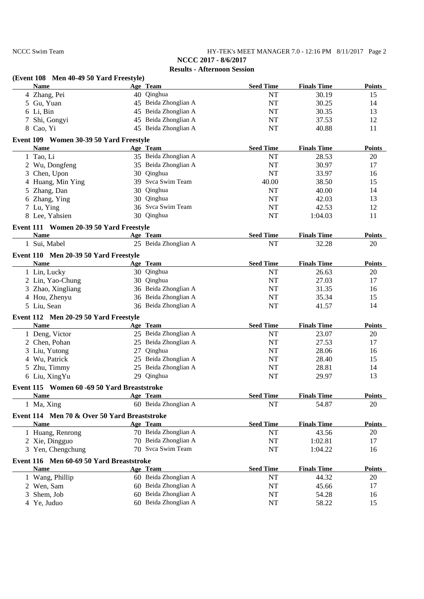NCCC Swim Team HY-TEK's MEET MANAGER 7.0 - 12:16 PM 8/11/2017 Page 2 **NCCC 2017 - 8/6/2017**

|   | (Event 108 Men 40-49 50 Yard Freestyle)      |                      |                  |                    |               |
|---|----------------------------------------------|----------------------|------------------|--------------------|---------------|
|   | <b>Name</b>                                  | Age Team             | <b>Seed Time</b> | <b>Finals Time</b> | <b>Points</b> |
|   | 4 Zhang, Pei                                 | 40 Qinghua           | NT               | 30.19              | 15            |
|   | 5 Gu, Yuan                                   | 45 Beida Zhonglian A | $\rm{NT}$        | 30.25              | 14            |
|   | 6 Li, Bin                                    | 45 Beida Zhonglian A | NT               | 30.35              | 13            |
|   | Shi, Gongyi                                  | 45 Beida Zhonglian A | NT               | 37.53              | 12            |
|   | 8 Cao, Yi                                    | 45 Beida Zhonglian A | <b>NT</b>        | 40.88              | 11            |
|   | Event 109 Women 30-39 50 Yard Freestyle      |                      |                  |                    |               |
|   | <b>Name</b>                                  | Age Team             | <b>Seed Time</b> | <b>Finals Time</b> | Points        |
|   | 1 Tao, Li                                    | 35 Beida Zhonglian A | NT               | 28.53              | 20            |
|   | 2 Wu, Dongfeng                               | 35 Beida Zhonglian A | NT               | 30.97              | 17            |
| 3 | Chen, Upon                                   | 30 Qinghua           | NT               | 33.97              | 16            |
| 4 | Huang, Min Ying                              | 39 Svca Swim Team    | 40.00            | 38.50              | 15            |
| 5 | Zhang, Dan                                   | 30 Qinghua           | <b>NT</b>        | 40.00              | 14            |
|   | 6 Zhang, Ying                                | 30 Qinghua           | NT               | 42.03              | 13            |
|   | 7 Lu, Ying                                   | 36 Svca Swim Team    | NT               | 42.53              | 12            |
|   | 8 Lee, Yahsien                               | 30 Qinghua           | NT               | 1:04.03            | 11            |
|   | Event 111 Women 20-39 50 Yard Freestyle      |                      |                  |                    |               |
|   | <b>Name</b>                                  | Age Team             | <b>Seed Time</b> | <b>Finals Time</b> | <b>Points</b> |
|   | 1 Sui, Mabel                                 | 25 Beida Zhonglian A | <b>NT</b>        | 32.28              | 20            |
|   | Event 110 Men 20-39 50 Yard Freestyle        |                      |                  |                    |               |
|   | <b>Name</b>                                  | Age Team             | <b>Seed Time</b> | <b>Finals Time</b> | <b>Points</b> |
|   | 1 Lin, Lucky                                 | 30 Qinghua           | NT               | 26.63              | 20            |
|   | 2 Lin, Yao-Chung                             | 30 Qinghua           | NT               | 27.03              | 17            |
|   | 3 Zhao, Xingliang                            | 36 Beida Zhonglian A | NT               | 31.35              | 16            |
|   | 4 Hou, Zhenyu                                | 36 Beida Zhonglian A | NT               | 35.34              | 15            |
|   | 5 Liu, Sean                                  | 36 Beida Zhonglian A | NT               | 41.57              | 14            |
|   | Event 112 Men 20-29 50 Yard Freestyle        |                      |                  |                    |               |
|   | <b>Name</b>                                  | Age Team             | <b>Seed Time</b> | <b>Finals Time</b> | <b>Points</b> |
|   | 1 Deng, Victor                               | 25 Beida Zhonglian A | NT               | 23.07              | 20            |
|   | 2 Chen, Pohan                                | 25 Beida Zhonglian A | NT               | 27.53              | 17            |
| 3 | Liu, Yutong                                  | 27 Qinghua           | NT               | 28.06              | 16            |
|   | 4 Wu, Patrick                                | 25 Beida Zhonglian A | NT               | 28.40              | 15            |
|   | 5 Zhu, Timmy                                 | 25 Beida Zhonglian A | NT               | 28.81              | 14            |
|   | 6 Liu, XingYu                                | 29 Qinghua           | <b>NT</b>        | 29.97              | 13            |
|   | Event 115 Women 60 -69 50 Yard Breaststroke  |                      |                  |                    |               |
|   | <b>Name</b>                                  | Age Team             | <b>Seed Time</b> | <b>Finals Time</b> | <b>Points</b> |
|   | 1 Ma, Xing                                   | 60 Beida Zhonglian A | NT               | 54.87              | 20            |
|   | Event 114 Men 70 & Over 50 Yard Breaststroke |                      |                  |                    |               |
|   | <b>Name</b>                                  | Age Team             | <b>Seed Time</b> | <b>Finals Time</b> | <b>Points</b> |
|   | 1 Huang, Renrong                             | 70 Beida Zhonglian A | NT               | 43.56              | 20            |
|   | 2 Xie, Dingguo                               | 70 Beida Zhonglian A | NT               | 1:02.81            | 17            |
|   | 3 Yen, Chengchung                            | 70 Svca Swim Team    | NT               | 1:04.22            | 16            |
|   | Event 116 Men 60-69 50 Yard Breaststroke     |                      |                  |                    |               |
|   | <b>Name</b>                                  | Age Team             | <b>Seed Time</b> | <b>Finals Time</b> | <b>Points</b> |
|   | 1 Wang, Phillip                              | 60 Beida Zhonglian A | $\rm{NT}$        | 44.32              | 20            |
|   | 2 Wen, Sam                                   | 60 Beida Zhonglian A | NT               | 45.66              | 17            |
| 3 | Shem, Job                                    | 60 Beida Zhonglian A | NT               | 54.28              | 16            |
|   | 4 Ye, Juduo                                  | 60 Beida Zhonglian A | NT               | 58.22              | 15            |
|   |                                              |                      |                  |                    |               |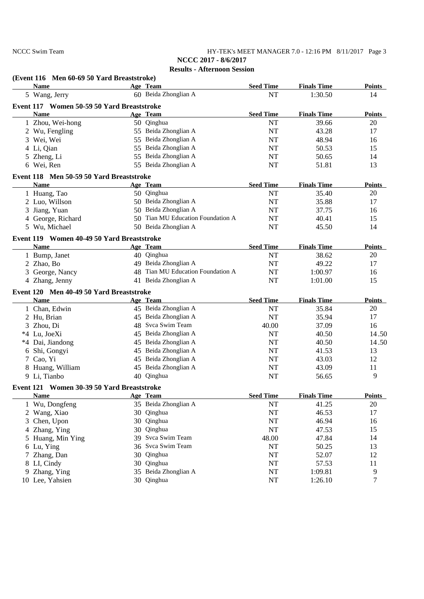NCCC Swim Team HY-TEK's MEET MANAGER 7.0 - 12:16 PM 8/11/2017 Page 3 **NCCC 2017 - 8/6/2017**

|    | (Event 116 Men 60-69 50 Yard Breaststroke) |    |                                   |                  |                    |               |
|----|--------------------------------------------|----|-----------------------------------|------------------|--------------------|---------------|
|    | <b>Name</b>                                |    | Age Team                          | <b>Seed Time</b> | <b>Finals Time</b> | <b>Points</b> |
|    | 5 Wang, Jerry                              |    | 60 Beida Zhonglian A              | NT               | 1:30.50            | 14            |
|    | Event 117 Women 50-59 50 Yard Breaststroke |    |                                   |                  |                    |               |
|    | <b>Name</b>                                |    | Age Team                          | <b>Seed Time</b> | <b>Finals Time</b> | <b>Points</b> |
|    | 1 Zhou, Wei-hong                           |    | 50 Qinghua                        | NT               | 39.66              | 20            |
|    | 2 Wu, Fengling                             |    | 55 Beida Zhonglian A              | NT               | 43.28              | 17            |
|    | 3 Wei, Wei                                 |    | 55 Beida Zhonglian A              | NT               | 48.94              | 16            |
|    | 4 Li, Qian                                 |    | 55 Beida Zhonglian A              | NT               | 50.53              | 15            |
|    | 5 Zheng, Li                                |    | 55 Beida Zhonglian A              | NT               | 50.65              | 14            |
|    | 6 Wei, Ren                                 |    | 55 Beida Zhonglian A              | NT               | 51.81              | 13            |
|    | Event 118 Men 50-59 50 Yard Breaststroke   |    |                                   |                  |                    |               |
|    | <b>Name</b>                                |    | Age Team                          | <b>Seed Time</b> | <b>Finals Time</b> | <b>Points</b> |
|    | 1 Huang, Tao                               |    | 50 Qinghua                        | NT               | 35.40              | 20            |
|    | 2 Luo, Willson                             |    | 50 Beida Zhonglian A              | NT               | 35.88              | 17            |
| 3  | Jiang, Yuan                                |    | 50 Beida Zhonglian A              | NT               | 37.75              | 16            |
|    | 4 George, Richard                          |    | 50 Tian MU Education Foundation A | NT               | 40.41              | 15            |
|    | 5 Wu, Michael                              |    | 50 Beida Zhonglian A              | <b>NT</b>        | 45.50              | 14            |
|    | Event 119 Women 40-49 50 Yard Breaststroke |    |                                   |                  |                    |               |
|    | <b>Name</b>                                |    | Age Team                          | <b>Seed Time</b> | <b>Finals Time</b> | <b>Points</b> |
|    | 1 Bump, Janet                              |    | 40 Qinghua                        | NT               | 38.62              | 20            |
|    | 2 Zhao, Bo                                 |    | 49 Beida Zhonglian A              | NT               | 49.22              | 17            |
|    | 3 George, Nancy                            |    | 48 Tian MU Education Foundation A | NT               | 1:00.97            | 16            |
|    | 4 Zhang, Jenny                             |    | 41 Beida Zhonglian A              | NT               | 1:01.00            | 15            |
|    | Event 120 Men 40-49 50 Yard Breaststroke   |    |                                   |                  |                    |               |
|    | <b>Name</b>                                |    | Age Team                          | <b>Seed Time</b> | <b>Finals Time</b> | <b>Points</b> |
|    | 1 Chan, Edwin                              |    | 45 Beida Zhonglian A              | NT               | 35.84              | 20            |
|    | 2 Hu, Brian                                |    | 45 Beida Zhonglian A              | NT               | 35.94              | 17            |
|    | 3 Zhou, Di                                 |    | 48 Svca Swim Team                 | 40.00            | 37.09              | 16            |
|    | *4 Lu, JoeXi                               | 45 | Beida Zhonglian A                 | NT               | 40.50              | 14.50         |
|    | *4 Dai, Jiandong                           | 45 | Beida Zhonglian A                 | NT               | 40.50              | 14.50         |
| 6  | Shi, Gongyi                                | 45 | Beida Zhonglian A                 | NT               | 41.53              | 13            |
|    | 7 Cao, Yi                                  | 45 | Beida Zhonglian A                 | NT               | 43.03              | 12            |
|    | 8 Huang, William                           | 45 | Beida Zhonglian A                 | NT               | 43.09              | 11            |
|    | 9 Li, Tianbo                               |    | 40 Qinghua                        | NT               | 56.65              | 9             |
|    | Event 121 Women 30-39 50 Yard Breaststroke |    |                                   |                  |                    |               |
|    | <b>Name</b>                                |    | Age Team                          | <b>Seed Time</b> | <b>Finals Time</b> | <b>Points</b> |
|    | 1 Wu, Dongfeng                             |    | 35 Beida Zhonglian A              | NT               | 41.25              | 20            |
|    | 2 Wang, Xiao                               | 30 | Qinghua                           | NT               | 46.53              | 17            |
| 3  | Chen, Upon                                 | 30 | Qinghua                           | NT               | 46.94              | 16            |
|    | 4 Zhang, Ying                              | 30 | Qinghua                           | NT               | 47.53              | 15            |
|    |                                            | 39 | Svca Swim Team                    |                  |                    |               |
|    | 5 Huang, Min Ying                          |    | Svca Swim Team                    | 48.00            | 47.84              | 14            |
|    | 6 Lu, Ying                                 | 36 |                                   | NT               | 50.25              | 13            |
| 7  | Zhang, Dan                                 | 30 | Qinghua                           | NT               | 52.07              | 12            |
|    | 8 LI, Cindy                                | 30 | Qinghua                           | NT               | 57.53              | 11            |
| 9. | Zhang, Ying                                | 35 | Beida Zhonglian A                 | NT               | 1:09.81            | 9             |
|    | 10 Lee, Yahsien                            |    | 30 Qinghua                        | $\rm{NT}$        | 1:26.10            | 7             |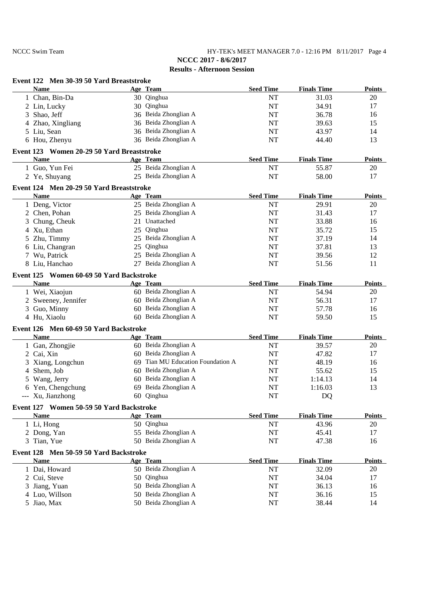NCCC Swim Team HY-TEK's MEET MANAGER 7.0 - 12:16 PM 8/11/2017 Page 4 **NCCC 2017 - 8/6/2017**

| Event 122 Men 30-39 50 Yard Breaststroke<br><b>Name</b> |    | Age Team                       | <b>Seed Time</b> | <b>Finals Time</b> | <b>Points</b> |
|---------------------------------------------------------|----|--------------------------------|------------------|--------------------|---------------|
| 1 Chan, Bin-Da                                          |    | 30 Qinghua                     | NT               | 31.03              | 20            |
| 2 Lin, Lucky                                            |    | 30 Qinghua                     | NT               | 34.91              | 17            |
| 3 Shao, Jeff                                            |    | 36 Beida Zhonglian A           | NT               | 36.78              | 16            |
| 4 Zhao, Xingliang                                       |    | 36 Beida Zhonglian A           | NT               | 39.63              | 15            |
| 5 Liu, Sean                                             |    | 36 Beida Zhonglian A           | NT               | 43.97              | 14            |
| 6 Hou, Zhenyu                                           |    | 36 Beida Zhonglian A           | NT               | 44.40              | 13            |
| Event 123 Women 20-29 50 Yard Breaststroke              |    |                                |                  |                    |               |
| <b>Name</b>                                             |    | Age Team                       | <b>Seed Time</b> | <b>Finals Time</b> | <b>Points</b> |
| 1 Guo, Yun Fei                                          |    | 25 Beida Zhonglian A           | NT               | 55.87              | 20            |
| 2 Ye, Shuyang                                           |    | 25 Beida Zhonglian A           | NT               | 58.00              | 17            |
| Event 124 Men 20-29 50 Yard Breaststroke                |    |                                |                  |                    |               |
| <b>Name</b>                                             |    | Age Team                       | <b>Seed Time</b> | <b>Finals Time</b> | <b>Points</b> |
| 1 Deng, Victor                                          |    | 25 Beida Zhonglian A           | <b>NT</b>        | 29.91              | 20            |
| 2 Chen, Pohan                                           |    | 25 Beida Zhonglian A           | NT               | 31.43              | 17            |
| 3 Chung, Cheuk                                          |    | 21 Unattached                  | NT               | 33.88              | 16            |
| 4 Xu, Ethan                                             | 25 | Qinghua                        | NT               | 35.72              | 15            |
| 5 Zhu, Timmy                                            | 25 | Beida Zhonglian A              | NT               | 37.19              | 14            |
| 6 Liu, Changran                                         | 25 | Qinghua                        | NT               | 37.81              | 13            |
| 7 Wu, Patrick                                           | 25 | Beida Zhonglian A              | NT               | 39.56              | 12            |
| 8 Liu, Hanchao                                          | 27 | Beida Zhonglian A              | NT               | 51.56              | 11            |
| Event 125 Women 60-69 50 Yard Backstroke                |    |                                |                  |                    |               |
| <b>Name</b>                                             |    | Age Team                       | <b>Seed Time</b> | <b>Finals Time</b> | <b>Points</b> |
| 1 Wei, Xiaojun                                          |    | 60 Beida Zhonglian A           | NT               | 54.94              | 20            |
| 2 Sweeney, Jennifer                                     |    | 60 Beida Zhonglian A           | NT               | 56.31              | 17            |
| 3 Guo, Minny                                            |    | 60 Beida Zhonglian A           | NT               | 57.78              | 16            |
| 4 Hu, Xiaolu                                            |    | 60 Beida Zhonglian A           | NT               | 59.50              | 15            |
| Event 126 Men 60-69 50 Yard Backstroke                  |    |                                |                  |                    |               |
| <b>Name</b>                                             |    | Age Team                       | <b>Seed Time</b> | <b>Finals Time</b> | <b>Points</b> |
| 1 Gan, Zhongjie                                         |    | 60 Beida Zhonglian A           | NT               | 39.57              | 20            |
| 2 Cai, Xin                                              |    | 60 Beida Zhonglian A           | NT               | 47.82              | 17            |
| 3 Xiang, Longchun                                       | 69 | Tian MU Education Foundation A | NT               | 48.19              | 16            |
| Shem, Job<br>4                                          |    | 60 Beida Zhonglian A           | NT               | 55.62              | 15            |
| 5 Wang, Jerry                                           | 60 | Beida Zhonglian A              | NT               | 1:14.13            | 14            |
| 6 Yen, Chengchung                                       |    | 69 Beida Zhonglian A           | NT               | 1:16.03            | 13            |
| --- Xu, Jianzhong                                       |    | 60 Qinghua                     | NT               | DQ                 |               |
| Event 127 Women 50-59 50 Yard Backstroke                |    |                                |                  |                    |               |
| <b>Name</b>                                             |    | Age Team                       | <b>Seed Time</b> | <b>Finals Time</b> | <b>Points</b> |
| 1 Li, Hong                                              |    | 50 Qinghua                     | NT               | 43.96              | 20            |
| 2 Dong, Yan                                             |    | 55 Beida Zhonglian A           | NT               | 45.41              | 17            |
| 3 Tian, Yue                                             |    | 50 Beida Zhonglian A           | NT               | 47.38              | 16            |
| Event 128 Men 50-59 50 Yard Backstroke                  |    |                                |                  |                    |               |
| <b>Name</b>                                             |    | Age Team                       | <b>Seed Time</b> | <b>Finals Time</b> | <b>Points</b> |
| 1 Dai, Howard                                           |    | 50 Beida Zhonglian A           | NT               | 32.09              | 20            |
| 2 Cui, Steve                                            |    | 50 Qinghua                     | NT               | 34.04              | 17            |
| 3                                                       |    | 50 Beida Zhonglian A           | NT               | 36.13              |               |
| Jiang, Yuan                                             |    | 50 Beida Zhonglian A           | NT               | 36.16              | 16            |
| 4 Luo, Willson                                          |    | 50 Beida Zhonglian A           |                  |                    | 15            |
| 5 Jiao, Max                                             |    |                                | NT               | 38.44              | 14            |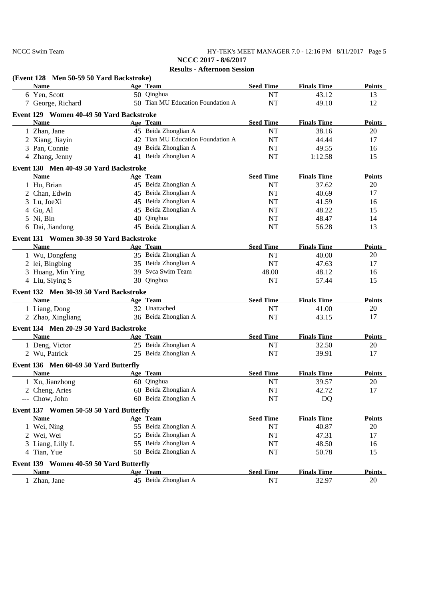NCCC Swim Team HY-TEK's MEET MANAGER 7.0 - 12:16 PM 8/11/2017 Page 5 **NCCC 2017 - 8/6/2017**

| (Event 128 Men 50-59 50 Yard Backstroke)               |                                   |                  |                    |               |
|--------------------------------------------------------|-----------------------------------|------------------|--------------------|---------------|
| <b>Name</b>                                            | Age Team                          | <b>Seed Time</b> | <b>Finals Time</b> | <b>Points</b> |
| 6 Yen, Scott                                           | 50 Qinghua                        | NT               | 43.12              | 13            |
| 7 George, Richard                                      | 50 Tian MU Education Foundation A | <b>NT</b>        | 49.10              | 12            |
| Event 129 Women 40-49 50 Yard Backstroke               |                                   |                  |                    |               |
| <b>Name</b>                                            | Age Team                          | <b>Seed Time</b> | <b>Finals Time</b> | <b>Points</b> |
| 1 Zhan, Jane                                           | 45 Beida Zhonglian A              | NT               | 38.16              | 20            |
| 2 Xiang, Jiayin                                        | 42 Tian MU Education Foundation A | NT               | 44.44              | 17            |
| 3 Pan, Connie                                          | 49 Beida Zhonglian A              | NT               | 49.55              | 16            |
| 4 Zhang, Jenny                                         | 41 Beida Zhonglian A              | NT               | 1:12.58            | 15            |
| Event 130 Men 40-49 50 Yard Backstroke                 |                                   |                  |                    |               |
| <b>Name</b>                                            | Age Team                          | <b>Seed Time</b> | <b>Finals Time</b> | <b>Points</b> |
| 1 Hu, Brian                                            | 45 Beida Zhonglian A              | NT               | 37.62              | 20            |
| 2 Chan, Edwin                                          | 45 Beida Zhonglian A              | NT               | 40.69              | 17            |
| 3 Lu, JoeXi                                            | 45 Beida Zhonglian A              | NT               | 41.59              | 16            |
| 4 Gu, Al                                               | 45 Beida Zhonglian A              | $\rm{NT}$        | 48.22              | 15            |
| 5 Ni, Bin                                              | 40 Qinghua                        | $\rm{NT}$        | 48.47              | 14            |
| 6 Dai, Jiandong                                        | 45 Beida Zhonglian A              | <b>NT</b>        | 56.28              | 13            |
| Event 131 Women 30-39 50 Yard Backstroke               |                                   |                  |                    |               |
| <b>Name</b>                                            | Age Team                          | <b>Seed Time</b> | <b>Finals Time</b> | <b>Points</b> |
| 1 Wu, Dongfeng                                         | 35 Beida Zhonglian A              | NT               | 40.00              | 20            |
| 2 lei, Bingbing                                        | 35 Beida Zhonglian A              | NT               | 47.63              | 17            |
| 3 Huang, Min Ying                                      | 39 Svca Swim Team                 | 48.00            | 48.12              | 16            |
| 4 Liu, Siying S                                        | 30 Qinghua                        | NT               | 57.44              | 15            |
| Event 132 Men 30-39 50 Yard Backstroke                 |                                   |                  |                    |               |
| <b>Name</b>                                            | Age Team                          | <b>Seed Time</b> | <b>Finals Time</b> | <b>Points</b> |
| 1 Liang, Dong                                          | 32 Unattached                     | NT               | 41.00              | 20            |
| 2 Zhao, Xingliang                                      | 36 Beida Zhonglian A              | $\rm{NT}$        | 43.15              | 17            |
| Event 134 Men 20-29 50 Yard Backstroke                 |                                   |                  |                    |               |
| <b>Name</b>                                            | Age Team                          | <b>Seed Time</b> | <b>Finals Time</b> | <b>Points</b> |
| 1 Deng, Victor                                         | 25 Beida Zhonglian A              | NT               | 32.50              | 20            |
| 2 Wu, Patrick                                          | 25 Beida Zhonglian A              | NT               | 39.91              | 17            |
| Event 136 Men 60-69 50 Yard Butterfly                  |                                   |                  |                    |               |
| <b>Name</b>                                            | Age Team                          | <b>Seed Time</b> | <b>Finals Time</b> | <b>Points</b> |
| 1 Xu, Jianzhong                                        | 60 Qinghua                        | NT               | 39.57              | 20            |
| 2 Cheng, Aries                                         | 60 Beida Zhonglian A              | NT               | 42.72              | 17            |
| --- Chow, John                                         | 60 Beida Zhonglian A              | NT               | DQ                 |               |
|                                                        |                                   |                  |                    |               |
| Event 137 Women 50-59 50 Yard Butterfly<br><b>Name</b> | Age Team                          | <b>Seed Time</b> | <b>Finals Time</b> | <b>Points</b> |
| 1 Wei, Ning                                            | 55 Beida Zhonglian A              | NT               | 40.87              | 20            |
| 2 Wei, Wei                                             | 55 Beida Zhonglian A              | NT               | 47.31              | 17            |
| 3 Liang, Lilly L                                       | 55 Beida Zhonglian A              | NT               | 48.50              | 16            |
| 4 Tian, Yue                                            | 50 Beida Zhonglian A              | NT               | 50.78              | 15            |
|                                                        |                                   |                  |                    |               |
| Event 139 Women 40-59 50 Yard Butterfly                |                                   |                  |                    |               |
| <b>Name</b>                                            | Age Team                          | <b>Seed Time</b> | <b>Finals Time</b> | <b>Points</b> |
| 1 Zhan, Jane                                           | 45 Beida Zhonglian A              | NT               | 32.97              | 20            |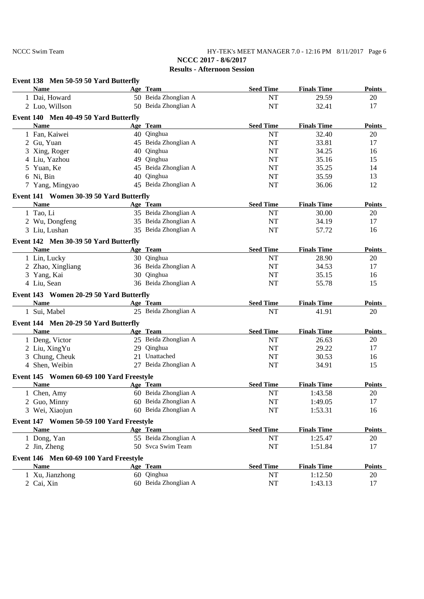NCCC Swim Team HY-TEK's MEET MANAGER 7.0 - 12:16 PM 8/11/2017 Page 6 **NCCC 2017 - 8/6/2017**

| Event 138 Men 50-59 50 Yard Butterfly    |                                  |                        |                               |                     |
|------------------------------------------|----------------------------------|------------------------|-------------------------------|---------------------|
| <b>Name</b>                              | Age Team                         | <b>Seed Time</b>       | <b>Finals Time</b>            | <b>Points</b>       |
| 1 Dai, Howard                            | 50 Beida Zhonglian A             | NT                     | 29.59                         | 20                  |
| 2 Luo, Willson                           | 50 Beida Zhonglian A             | <b>NT</b>              | 32.41                         | 17                  |
| Event 140 Men 40-49 50 Yard Butterfly    |                                  |                        |                               |                     |
| <b>Name</b>                              | Age Team                         | <b>Seed Time</b>       | <b>Finals Time</b>            | <b>Points</b>       |
| 1 Fan, Kaiwei                            | 40 Qinghua                       | <b>NT</b>              | 32.40                         | 20                  |
| 2 Gu, Yuan                               | 45 Beida Zhonglian A             | NT                     | 33.81                         | 17                  |
| 3 Xing, Roger                            | 40 Qinghua                       | NT                     | 34.25                         | 16                  |
| 4 Liu, Yazhou                            | 49 Qinghua                       | NT                     | 35.16                         | 15                  |
| 5 Yuan, Ke                               | 45 Beida Zhonglian A             | NT                     | 35.25                         | 14                  |
| 6 Ni, Bin                                | 40 Qinghua                       | NT                     | 35.59                         | 13                  |
| 7 Yang, Mingyao                          | 45 Beida Zhonglian A             | NT                     | 36.06                         | 12                  |
| Event 141 Women 30-39 50 Yard Butterfly  |                                  |                        |                               |                     |
| <b>Name</b>                              | Age Team                         | <b>Seed Time</b>       | <b>Finals Time</b>            | <b>Points</b>       |
| 1 Tao, Li                                | 35 Beida Zhonglian A             | $\rm{NT}$              | 30.00                         | 20                  |
| 2 Wu, Dongfeng                           | 35 Beida Zhonglian A             | $\rm{NT}$              | 34.19                         | 17                  |
| 3 Liu, Lushan                            | 35 Beida Zhonglian A             | <b>NT</b>              | 57.72                         | 16                  |
| Event 142 Men 30-39 50 Yard Butterfly    |                                  |                        |                               |                     |
| <b>Name</b>                              | Age Team                         | <b>Seed Time</b>       | <b>Finals Time</b>            | <b>Points</b>       |
| 1 Lin, Lucky                             | 30 Qinghua                       | NT                     | 28.90                         | 20                  |
| 2 Zhao, Xingliang                        | 36 Beida Zhonglian A             | NT                     | 34.53                         | 17                  |
| 3 Yang, Kai                              | 30 Qinghua                       | NT                     | 35.15                         | 16                  |
| 4 Liu, Sean                              | 36 Beida Zhonglian A             | <b>NT</b>              | 55.78                         | 15                  |
| Event 143 Women 20-29 50 Yard Butterfly  |                                  |                        |                               |                     |
| <b>Name</b>                              | Age Team                         | <b>Seed Time</b>       | <b>Finals Time</b>            | <b>Points</b>       |
| 1 Sui, Mabel                             | 25 Beida Zhonglian A             | NT                     | 41.91                         | 20                  |
| Event 144 Men 20-29 50 Yard Butterfly    |                                  |                        |                               |                     |
| <b>Name</b>                              | Age Team                         | <b>Seed Time</b>       | <b>Finals Time</b>            | <b>Points</b>       |
| 1 Deng, Victor                           | 25 Beida Zhonglian A             | NT                     | 26.63                         | 20                  |
| 2 Liu, XingYu                            | 29 Qinghua                       | NT                     | 29.22                         | 17                  |
| 3 Chung, Cheuk                           | 21 Unattached                    | NT                     | 30.53                         | 16                  |
| 4 Shen, Weibin                           | 27 Beida Zhonglian A             | NT                     | 34.91                         | 15                  |
| Event 145 Women 60-69 100 Yard Freestyle |                                  |                        |                               |                     |
| <b>Name</b>                              | Age Team                         | <b>Seed Time</b>       | <b>Finals Time</b>            | <b>Points</b>       |
| 1 Chen, Amy                              | 60 Beida Zhonglian A             | NT                     | 1:43.58                       | 20                  |
| 2 Guo, Minny                             | 60 Beida Zhonglian A             | <b>NT</b>              | 1:49.05                       | 17                  |
| 3 Wei, Xiaojun                           | 60 Beida Zhonglian A             | <b>NT</b>              | 1:53.31                       | 16                  |
|                                          |                                  |                        |                               |                     |
| Event 147 Women 50-59 100 Yard Freestyle |                                  |                        |                               |                     |
| <b>Name</b><br>1 Dong, Yan               | Age Team<br>55 Beida Zhonglian A | <b>Seed Time</b><br>NT | <b>Finals Time</b><br>1:25.47 | <b>Points</b><br>20 |
| 2 Jin, Zheng                             | 50 Svca Swim Team                | NT                     | 1:51.84                       | 17                  |
|                                          |                                  |                        |                               |                     |
| Event 146 Men 60-69 100 Yard Freestyle   |                                  |                        |                               |                     |
| Name                                     | Age Team                         | <b>Seed Time</b>       | <b>Finals Time</b>            | <b>Points</b>       |
| 1 Xu, Jianzhong                          | 60 Qinghua                       | NT                     | 1:12.50                       | 20                  |
| 2 Cai, Xin                               | 60 Beida Zhonglian A             | NT                     | 1:43.13                       | 17                  |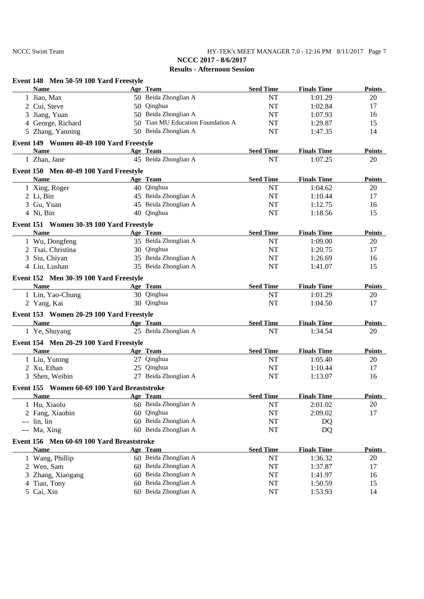NCCC Swim Team HY-TEK's MEET MANAGER 7.0 - 12:16 PM 8/11/2017 Page 7 **NCCC 2017 - 8/6/2017**

| Age Team<br><b>Seed Time</b><br><b>Finals Time</b><br><b>Name</b><br>50 Beida Zhonglian A<br>1 Jiao, Max<br><b>NT</b><br>1:01.29<br>20<br>50 Qinghua<br>2 Cui, Steve<br><b>NT</b><br>1:02.84<br>17<br>50 Beida Zhonglian A<br>3 Jiang, Yuan<br>NT<br>1:07.93<br>16<br>4 George, Richard<br>50 Tian MU Education Foundation A<br>15<br>NT<br>1:29.87<br>50 Beida Zhonglian A<br>5 Zhang, Yanning<br>NT<br>14<br>1:47.35<br>Event 149 Women 40-49 100 Yard Freestyle<br><b>Name</b><br><b>Seed Time</b><br><b>Finals Time</b><br>Age Team<br>the control of the control of the control of<br>45 Beida Zhonglian A<br>NT<br>1:07.25<br>1 Zhan, Jane<br>20<br>Event 150 Men 40-49 100 Yard Freestyle<br><b>Seed Time</b><br><b>Name</b><br>Age Team<br><b>Finals Time</b><br>40 Qinghua<br>1:04.62<br>1 Xing, Roger<br>NT<br>20<br>45 Beida Zhonglian A<br>$2$ Li, Bin<br>NT<br>1:10.44<br>17<br>45 Beida Zhonglian A<br>3 Gu, Yuan<br>16<br>NT<br>1:12.75<br>40 Qinghua<br>4 Ni, Bin<br>NT<br>15<br>1:18.56<br>Event 151 Women 30-39 100 Yard Freestyle<br>Age Team<br><b>Seed Time</b><br><b>Finals Time</b><br><b>Name</b><br>35 Beida Zhonglian A<br>1 Wu, Dongfeng<br>20<br>NT<br>1:09.00<br>17<br>2 Tsai, Christina<br>30 Qinghua<br>NT<br>1:20.75<br>35 Beida Zhonglian A<br>3 Siu, Chiyan<br>NT<br>1:26.69<br>16<br>35 Beida Zhonglian A<br>4 Liu, Lushan<br>NT<br>15<br>1:41.07<br>Event 152 Men 30-39 100 Yard Freestyle<br><b>Name</b><br><b>Seed Time</b><br><b>Finals Time</b><br><b>Example 2018</b> Age Team<br>30 Qinghua<br>1 Lin, Yao-Chung<br>NT<br>1:01.29<br>20<br>30 Qinghua<br><b>NT</b><br>1:04.50<br>2 Yang, Kai<br>17<br>Event 153 Women 20-29 100 Yard Freestyle<br><b>Seed Time</b><br><b>Name</b><br>Age Team<br><b>Finals Time</b><br>the control of the control of the control of<br>25 Beida Zhonglian A<br>20<br><b>NT</b><br>1:34.54<br>1 Ye, Shuyang<br>Event 154 Men 20-29 100 Yard Freestyle<br><b>Seed Time</b><br><b>Finals Time</b><br><b>Name</b><br>Age Team<br>1 Liu, Yutong<br>27 Qinghua<br>NT<br>1:05.40<br>20<br>25 Qinghua<br>2 Xu, Ethan<br>NT<br>1:10.44<br>17<br>27 Beida Zhonglian A<br><b>NT</b><br>16<br>3 Shen, Weibin<br>1:13.07<br>Event 155 Women 60-69 100 Yard Breaststroke<br><b>Seed Time</b><br><b>Finals Time</b><br><b>Name</b><br>Age Team<br>60 Beida Zhonglian A<br>NT<br>2:01.02<br>1 Hu, Xiaolu<br>20<br>Qinghua<br>17<br>2 Fang, Xiaobin<br>NT<br>2:09.02<br>60<br>60 Beida Zhonglian A<br>NT<br>$---$ lin, lin<br>DQ<br>60 Beida Zhonglian A<br>NT<br>DQ<br>--- Ma, Xing<br>Event 156 Men 60-69 100 Yard Breaststroke<br><b>Seed Time</b><br><b>Finals Time</b><br><b>Name</b><br>Age Team<br>60 Beida Zhonglian A<br>1:36.32<br>1 Wang, Phillip<br>NT<br>20<br>60 Beida Zhonglian A<br>NT<br>17<br>2 Wen, Sam<br>1:37.87<br>Beida Zhonglian A<br>3 Zhang, Xiaogang<br>NT<br>1:41.97<br>16<br>60<br>60 Beida Zhonglian A<br>4 Tian, Tony<br>NT<br>15<br>1:50.59<br>5 Cai, Xin<br>60 Beida Zhonglian A<br>NT<br>1:53.93<br>14 | Event 148 Men 50-59 100 Yard Freestyle |  |  |               |
|--------------------------------------------------------------------------------------------------------------------------------------------------------------------------------------------------------------------------------------------------------------------------------------------------------------------------------------------------------------------------------------------------------------------------------------------------------------------------------------------------------------------------------------------------------------------------------------------------------------------------------------------------------------------------------------------------------------------------------------------------------------------------------------------------------------------------------------------------------------------------------------------------------------------------------------------------------------------------------------------------------------------------------------------------------------------------------------------------------------------------------------------------------------------------------------------------------------------------------------------------------------------------------------------------------------------------------------------------------------------------------------------------------------------------------------------------------------------------------------------------------------------------------------------------------------------------------------------------------------------------------------------------------------------------------------------------------------------------------------------------------------------------------------------------------------------------------------------------------------------------------------------------------------------------------------------------------------------------------------------------------------------------------------------------------------------------------------------------------------------------------------------------------------------------------------------------------------------------------------------------------------------------------------------------------------------------------------------------------------------------------------------------------------------------------------------------------------------------------------------------------------------------------------------------------------------------------------------------------------------------------------------------------------------------------------------------------------------------------------------------------------------------------------------------------------------------------------------------------------------------------------------------------------------------------------------------------------------------------------------------|----------------------------------------|--|--|---------------|
|                                                                                                                                                                                                                                                                                                                                                                                                                                                                                                                                                                                                                                                                                                                                                                                                                                                                                                                                                                                                                                                                                                                                                                                                                                                                                                                                                                                                                                                                                                                                                                                                                                                                                                                                                                                                                                                                                                                                                                                                                                                                                                                                                                                                                                                                                                                                                                                                                                                                                                                                                                                                                                                                                                                                                                                                                                                                                                                                                                                                  |                                        |  |  | <b>Points</b> |
|                                                                                                                                                                                                                                                                                                                                                                                                                                                                                                                                                                                                                                                                                                                                                                                                                                                                                                                                                                                                                                                                                                                                                                                                                                                                                                                                                                                                                                                                                                                                                                                                                                                                                                                                                                                                                                                                                                                                                                                                                                                                                                                                                                                                                                                                                                                                                                                                                                                                                                                                                                                                                                                                                                                                                                                                                                                                                                                                                                                                  |                                        |  |  |               |
|                                                                                                                                                                                                                                                                                                                                                                                                                                                                                                                                                                                                                                                                                                                                                                                                                                                                                                                                                                                                                                                                                                                                                                                                                                                                                                                                                                                                                                                                                                                                                                                                                                                                                                                                                                                                                                                                                                                                                                                                                                                                                                                                                                                                                                                                                                                                                                                                                                                                                                                                                                                                                                                                                                                                                                                                                                                                                                                                                                                                  |                                        |  |  |               |
|                                                                                                                                                                                                                                                                                                                                                                                                                                                                                                                                                                                                                                                                                                                                                                                                                                                                                                                                                                                                                                                                                                                                                                                                                                                                                                                                                                                                                                                                                                                                                                                                                                                                                                                                                                                                                                                                                                                                                                                                                                                                                                                                                                                                                                                                                                                                                                                                                                                                                                                                                                                                                                                                                                                                                                                                                                                                                                                                                                                                  |                                        |  |  |               |
|                                                                                                                                                                                                                                                                                                                                                                                                                                                                                                                                                                                                                                                                                                                                                                                                                                                                                                                                                                                                                                                                                                                                                                                                                                                                                                                                                                                                                                                                                                                                                                                                                                                                                                                                                                                                                                                                                                                                                                                                                                                                                                                                                                                                                                                                                                                                                                                                                                                                                                                                                                                                                                                                                                                                                                                                                                                                                                                                                                                                  |                                        |  |  |               |
|                                                                                                                                                                                                                                                                                                                                                                                                                                                                                                                                                                                                                                                                                                                                                                                                                                                                                                                                                                                                                                                                                                                                                                                                                                                                                                                                                                                                                                                                                                                                                                                                                                                                                                                                                                                                                                                                                                                                                                                                                                                                                                                                                                                                                                                                                                                                                                                                                                                                                                                                                                                                                                                                                                                                                                                                                                                                                                                                                                                                  |                                        |  |  |               |
|                                                                                                                                                                                                                                                                                                                                                                                                                                                                                                                                                                                                                                                                                                                                                                                                                                                                                                                                                                                                                                                                                                                                                                                                                                                                                                                                                                                                                                                                                                                                                                                                                                                                                                                                                                                                                                                                                                                                                                                                                                                                                                                                                                                                                                                                                                                                                                                                                                                                                                                                                                                                                                                                                                                                                                                                                                                                                                                                                                                                  |                                        |  |  |               |
|                                                                                                                                                                                                                                                                                                                                                                                                                                                                                                                                                                                                                                                                                                                                                                                                                                                                                                                                                                                                                                                                                                                                                                                                                                                                                                                                                                                                                                                                                                                                                                                                                                                                                                                                                                                                                                                                                                                                                                                                                                                                                                                                                                                                                                                                                                                                                                                                                                                                                                                                                                                                                                                                                                                                                                                                                                                                                                                                                                                                  |                                        |  |  | Points        |
|                                                                                                                                                                                                                                                                                                                                                                                                                                                                                                                                                                                                                                                                                                                                                                                                                                                                                                                                                                                                                                                                                                                                                                                                                                                                                                                                                                                                                                                                                                                                                                                                                                                                                                                                                                                                                                                                                                                                                                                                                                                                                                                                                                                                                                                                                                                                                                                                                                                                                                                                                                                                                                                                                                                                                                                                                                                                                                                                                                                                  |                                        |  |  |               |
|                                                                                                                                                                                                                                                                                                                                                                                                                                                                                                                                                                                                                                                                                                                                                                                                                                                                                                                                                                                                                                                                                                                                                                                                                                                                                                                                                                                                                                                                                                                                                                                                                                                                                                                                                                                                                                                                                                                                                                                                                                                                                                                                                                                                                                                                                                                                                                                                                                                                                                                                                                                                                                                                                                                                                                                                                                                                                                                                                                                                  |                                        |  |  |               |
|                                                                                                                                                                                                                                                                                                                                                                                                                                                                                                                                                                                                                                                                                                                                                                                                                                                                                                                                                                                                                                                                                                                                                                                                                                                                                                                                                                                                                                                                                                                                                                                                                                                                                                                                                                                                                                                                                                                                                                                                                                                                                                                                                                                                                                                                                                                                                                                                                                                                                                                                                                                                                                                                                                                                                                                                                                                                                                                                                                                                  |                                        |  |  | <b>Points</b> |
|                                                                                                                                                                                                                                                                                                                                                                                                                                                                                                                                                                                                                                                                                                                                                                                                                                                                                                                                                                                                                                                                                                                                                                                                                                                                                                                                                                                                                                                                                                                                                                                                                                                                                                                                                                                                                                                                                                                                                                                                                                                                                                                                                                                                                                                                                                                                                                                                                                                                                                                                                                                                                                                                                                                                                                                                                                                                                                                                                                                                  |                                        |  |  |               |
|                                                                                                                                                                                                                                                                                                                                                                                                                                                                                                                                                                                                                                                                                                                                                                                                                                                                                                                                                                                                                                                                                                                                                                                                                                                                                                                                                                                                                                                                                                                                                                                                                                                                                                                                                                                                                                                                                                                                                                                                                                                                                                                                                                                                                                                                                                                                                                                                                                                                                                                                                                                                                                                                                                                                                                                                                                                                                                                                                                                                  |                                        |  |  |               |
|                                                                                                                                                                                                                                                                                                                                                                                                                                                                                                                                                                                                                                                                                                                                                                                                                                                                                                                                                                                                                                                                                                                                                                                                                                                                                                                                                                                                                                                                                                                                                                                                                                                                                                                                                                                                                                                                                                                                                                                                                                                                                                                                                                                                                                                                                                                                                                                                                                                                                                                                                                                                                                                                                                                                                                                                                                                                                                                                                                                                  |                                        |  |  |               |
|                                                                                                                                                                                                                                                                                                                                                                                                                                                                                                                                                                                                                                                                                                                                                                                                                                                                                                                                                                                                                                                                                                                                                                                                                                                                                                                                                                                                                                                                                                                                                                                                                                                                                                                                                                                                                                                                                                                                                                                                                                                                                                                                                                                                                                                                                                                                                                                                                                                                                                                                                                                                                                                                                                                                                                                                                                                                                                                                                                                                  |                                        |  |  |               |
|                                                                                                                                                                                                                                                                                                                                                                                                                                                                                                                                                                                                                                                                                                                                                                                                                                                                                                                                                                                                                                                                                                                                                                                                                                                                                                                                                                                                                                                                                                                                                                                                                                                                                                                                                                                                                                                                                                                                                                                                                                                                                                                                                                                                                                                                                                                                                                                                                                                                                                                                                                                                                                                                                                                                                                                                                                                                                                                                                                                                  |                                        |  |  |               |
|                                                                                                                                                                                                                                                                                                                                                                                                                                                                                                                                                                                                                                                                                                                                                                                                                                                                                                                                                                                                                                                                                                                                                                                                                                                                                                                                                                                                                                                                                                                                                                                                                                                                                                                                                                                                                                                                                                                                                                                                                                                                                                                                                                                                                                                                                                                                                                                                                                                                                                                                                                                                                                                                                                                                                                                                                                                                                                                                                                                                  |                                        |  |  | <b>Points</b> |
|                                                                                                                                                                                                                                                                                                                                                                                                                                                                                                                                                                                                                                                                                                                                                                                                                                                                                                                                                                                                                                                                                                                                                                                                                                                                                                                                                                                                                                                                                                                                                                                                                                                                                                                                                                                                                                                                                                                                                                                                                                                                                                                                                                                                                                                                                                                                                                                                                                                                                                                                                                                                                                                                                                                                                                                                                                                                                                                                                                                                  |                                        |  |  |               |
|                                                                                                                                                                                                                                                                                                                                                                                                                                                                                                                                                                                                                                                                                                                                                                                                                                                                                                                                                                                                                                                                                                                                                                                                                                                                                                                                                                                                                                                                                                                                                                                                                                                                                                                                                                                                                                                                                                                                                                                                                                                                                                                                                                                                                                                                                                                                                                                                                                                                                                                                                                                                                                                                                                                                                                                                                                                                                                                                                                                                  |                                        |  |  |               |
|                                                                                                                                                                                                                                                                                                                                                                                                                                                                                                                                                                                                                                                                                                                                                                                                                                                                                                                                                                                                                                                                                                                                                                                                                                                                                                                                                                                                                                                                                                                                                                                                                                                                                                                                                                                                                                                                                                                                                                                                                                                                                                                                                                                                                                                                                                                                                                                                                                                                                                                                                                                                                                                                                                                                                                                                                                                                                                                                                                                                  |                                        |  |  |               |
|                                                                                                                                                                                                                                                                                                                                                                                                                                                                                                                                                                                                                                                                                                                                                                                                                                                                                                                                                                                                                                                                                                                                                                                                                                                                                                                                                                                                                                                                                                                                                                                                                                                                                                                                                                                                                                                                                                                                                                                                                                                                                                                                                                                                                                                                                                                                                                                                                                                                                                                                                                                                                                                                                                                                                                                                                                                                                                                                                                                                  |                                        |  |  |               |
|                                                                                                                                                                                                                                                                                                                                                                                                                                                                                                                                                                                                                                                                                                                                                                                                                                                                                                                                                                                                                                                                                                                                                                                                                                                                                                                                                                                                                                                                                                                                                                                                                                                                                                                                                                                                                                                                                                                                                                                                                                                                                                                                                                                                                                                                                                                                                                                                                                                                                                                                                                                                                                                                                                                                                                                                                                                                                                                                                                                                  |                                        |  |  |               |
|                                                                                                                                                                                                                                                                                                                                                                                                                                                                                                                                                                                                                                                                                                                                                                                                                                                                                                                                                                                                                                                                                                                                                                                                                                                                                                                                                                                                                                                                                                                                                                                                                                                                                                                                                                                                                                                                                                                                                                                                                                                                                                                                                                                                                                                                                                                                                                                                                                                                                                                                                                                                                                                                                                                                                                                                                                                                                                                                                                                                  |                                        |  |  | <b>Points</b> |
|                                                                                                                                                                                                                                                                                                                                                                                                                                                                                                                                                                                                                                                                                                                                                                                                                                                                                                                                                                                                                                                                                                                                                                                                                                                                                                                                                                                                                                                                                                                                                                                                                                                                                                                                                                                                                                                                                                                                                                                                                                                                                                                                                                                                                                                                                                                                                                                                                                                                                                                                                                                                                                                                                                                                                                                                                                                                                                                                                                                                  |                                        |  |  |               |
|                                                                                                                                                                                                                                                                                                                                                                                                                                                                                                                                                                                                                                                                                                                                                                                                                                                                                                                                                                                                                                                                                                                                                                                                                                                                                                                                                                                                                                                                                                                                                                                                                                                                                                                                                                                                                                                                                                                                                                                                                                                                                                                                                                                                                                                                                                                                                                                                                                                                                                                                                                                                                                                                                                                                                                                                                                                                                                                                                                                                  |                                        |  |  |               |
|                                                                                                                                                                                                                                                                                                                                                                                                                                                                                                                                                                                                                                                                                                                                                                                                                                                                                                                                                                                                                                                                                                                                                                                                                                                                                                                                                                                                                                                                                                                                                                                                                                                                                                                                                                                                                                                                                                                                                                                                                                                                                                                                                                                                                                                                                                                                                                                                                                                                                                                                                                                                                                                                                                                                                                                                                                                                                                                                                                                                  |                                        |  |  |               |
|                                                                                                                                                                                                                                                                                                                                                                                                                                                                                                                                                                                                                                                                                                                                                                                                                                                                                                                                                                                                                                                                                                                                                                                                                                                                                                                                                                                                                                                                                                                                                                                                                                                                                                                                                                                                                                                                                                                                                                                                                                                                                                                                                                                                                                                                                                                                                                                                                                                                                                                                                                                                                                                                                                                                                                                                                                                                                                                                                                                                  |                                        |  |  | Points        |
|                                                                                                                                                                                                                                                                                                                                                                                                                                                                                                                                                                                                                                                                                                                                                                                                                                                                                                                                                                                                                                                                                                                                                                                                                                                                                                                                                                                                                                                                                                                                                                                                                                                                                                                                                                                                                                                                                                                                                                                                                                                                                                                                                                                                                                                                                                                                                                                                                                                                                                                                                                                                                                                                                                                                                                                                                                                                                                                                                                                                  |                                        |  |  |               |
|                                                                                                                                                                                                                                                                                                                                                                                                                                                                                                                                                                                                                                                                                                                                                                                                                                                                                                                                                                                                                                                                                                                                                                                                                                                                                                                                                                                                                                                                                                                                                                                                                                                                                                                                                                                                                                                                                                                                                                                                                                                                                                                                                                                                                                                                                                                                                                                                                                                                                                                                                                                                                                                                                                                                                                                                                                                                                                                                                                                                  |                                        |  |  |               |
|                                                                                                                                                                                                                                                                                                                                                                                                                                                                                                                                                                                                                                                                                                                                                                                                                                                                                                                                                                                                                                                                                                                                                                                                                                                                                                                                                                                                                                                                                                                                                                                                                                                                                                                                                                                                                                                                                                                                                                                                                                                                                                                                                                                                                                                                                                                                                                                                                                                                                                                                                                                                                                                                                                                                                                                                                                                                                                                                                                                                  |                                        |  |  | <b>Points</b> |
|                                                                                                                                                                                                                                                                                                                                                                                                                                                                                                                                                                                                                                                                                                                                                                                                                                                                                                                                                                                                                                                                                                                                                                                                                                                                                                                                                                                                                                                                                                                                                                                                                                                                                                                                                                                                                                                                                                                                                                                                                                                                                                                                                                                                                                                                                                                                                                                                                                                                                                                                                                                                                                                                                                                                                                                                                                                                                                                                                                                                  |                                        |  |  |               |
|                                                                                                                                                                                                                                                                                                                                                                                                                                                                                                                                                                                                                                                                                                                                                                                                                                                                                                                                                                                                                                                                                                                                                                                                                                                                                                                                                                                                                                                                                                                                                                                                                                                                                                                                                                                                                                                                                                                                                                                                                                                                                                                                                                                                                                                                                                                                                                                                                                                                                                                                                                                                                                                                                                                                                                                                                                                                                                                                                                                                  |                                        |  |  |               |
|                                                                                                                                                                                                                                                                                                                                                                                                                                                                                                                                                                                                                                                                                                                                                                                                                                                                                                                                                                                                                                                                                                                                                                                                                                                                                                                                                                                                                                                                                                                                                                                                                                                                                                                                                                                                                                                                                                                                                                                                                                                                                                                                                                                                                                                                                                                                                                                                                                                                                                                                                                                                                                                                                                                                                                                                                                                                                                                                                                                                  |                                        |  |  |               |
|                                                                                                                                                                                                                                                                                                                                                                                                                                                                                                                                                                                                                                                                                                                                                                                                                                                                                                                                                                                                                                                                                                                                                                                                                                                                                                                                                                                                                                                                                                                                                                                                                                                                                                                                                                                                                                                                                                                                                                                                                                                                                                                                                                                                                                                                                                                                                                                                                                                                                                                                                                                                                                                                                                                                                                                                                                                                                                                                                                                                  |                                        |  |  |               |
|                                                                                                                                                                                                                                                                                                                                                                                                                                                                                                                                                                                                                                                                                                                                                                                                                                                                                                                                                                                                                                                                                                                                                                                                                                                                                                                                                                                                                                                                                                                                                                                                                                                                                                                                                                                                                                                                                                                                                                                                                                                                                                                                                                                                                                                                                                                                                                                                                                                                                                                                                                                                                                                                                                                                                                                                                                                                                                                                                                                                  |                                        |  |  | <b>Points</b> |
|                                                                                                                                                                                                                                                                                                                                                                                                                                                                                                                                                                                                                                                                                                                                                                                                                                                                                                                                                                                                                                                                                                                                                                                                                                                                                                                                                                                                                                                                                                                                                                                                                                                                                                                                                                                                                                                                                                                                                                                                                                                                                                                                                                                                                                                                                                                                                                                                                                                                                                                                                                                                                                                                                                                                                                                                                                                                                                                                                                                                  |                                        |  |  |               |
|                                                                                                                                                                                                                                                                                                                                                                                                                                                                                                                                                                                                                                                                                                                                                                                                                                                                                                                                                                                                                                                                                                                                                                                                                                                                                                                                                                                                                                                                                                                                                                                                                                                                                                                                                                                                                                                                                                                                                                                                                                                                                                                                                                                                                                                                                                                                                                                                                                                                                                                                                                                                                                                                                                                                                                                                                                                                                                                                                                                                  |                                        |  |  |               |
|                                                                                                                                                                                                                                                                                                                                                                                                                                                                                                                                                                                                                                                                                                                                                                                                                                                                                                                                                                                                                                                                                                                                                                                                                                                                                                                                                                                                                                                                                                                                                                                                                                                                                                                                                                                                                                                                                                                                                                                                                                                                                                                                                                                                                                                                                                                                                                                                                                                                                                                                                                                                                                                                                                                                                                                                                                                                                                                                                                                                  |                                        |  |  |               |
|                                                                                                                                                                                                                                                                                                                                                                                                                                                                                                                                                                                                                                                                                                                                                                                                                                                                                                                                                                                                                                                                                                                                                                                                                                                                                                                                                                                                                                                                                                                                                                                                                                                                                                                                                                                                                                                                                                                                                                                                                                                                                                                                                                                                                                                                                                                                                                                                                                                                                                                                                                                                                                                                                                                                                                                                                                                                                                                                                                                                  |                                        |  |  |               |
|                                                                                                                                                                                                                                                                                                                                                                                                                                                                                                                                                                                                                                                                                                                                                                                                                                                                                                                                                                                                                                                                                                                                                                                                                                                                                                                                                                                                                                                                                                                                                                                                                                                                                                                                                                                                                                                                                                                                                                                                                                                                                                                                                                                                                                                                                                                                                                                                                                                                                                                                                                                                                                                                                                                                                                                                                                                                                                                                                                                                  |                                        |  |  |               |
|                                                                                                                                                                                                                                                                                                                                                                                                                                                                                                                                                                                                                                                                                                                                                                                                                                                                                                                                                                                                                                                                                                                                                                                                                                                                                                                                                                                                                                                                                                                                                                                                                                                                                                                                                                                                                                                                                                                                                                                                                                                                                                                                                                                                                                                                                                                                                                                                                                                                                                                                                                                                                                                                                                                                                                                                                                                                                                                                                                                                  |                                        |  |  | <b>Points</b> |
|                                                                                                                                                                                                                                                                                                                                                                                                                                                                                                                                                                                                                                                                                                                                                                                                                                                                                                                                                                                                                                                                                                                                                                                                                                                                                                                                                                                                                                                                                                                                                                                                                                                                                                                                                                                                                                                                                                                                                                                                                                                                                                                                                                                                                                                                                                                                                                                                                                                                                                                                                                                                                                                                                                                                                                                                                                                                                                                                                                                                  |                                        |  |  |               |
|                                                                                                                                                                                                                                                                                                                                                                                                                                                                                                                                                                                                                                                                                                                                                                                                                                                                                                                                                                                                                                                                                                                                                                                                                                                                                                                                                                                                                                                                                                                                                                                                                                                                                                                                                                                                                                                                                                                                                                                                                                                                                                                                                                                                                                                                                                                                                                                                                                                                                                                                                                                                                                                                                                                                                                                                                                                                                                                                                                                                  |                                        |  |  |               |
|                                                                                                                                                                                                                                                                                                                                                                                                                                                                                                                                                                                                                                                                                                                                                                                                                                                                                                                                                                                                                                                                                                                                                                                                                                                                                                                                                                                                                                                                                                                                                                                                                                                                                                                                                                                                                                                                                                                                                                                                                                                                                                                                                                                                                                                                                                                                                                                                                                                                                                                                                                                                                                                                                                                                                                                                                                                                                                                                                                                                  |                                        |  |  |               |
|                                                                                                                                                                                                                                                                                                                                                                                                                                                                                                                                                                                                                                                                                                                                                                                                                                                                                                                                                                                                                                                                                                                                                                                                                                                                                                                                                                                                                                                                                                                                                                                                                                                                                                                                                                                                                                                                                                                                                                                                                                                                                                                                                                                                                                                                                                                                                                                                                                                                                                                                                                                                                                                                                                                                                                                                                                                                                                                                                                                                  |                                        |  |  |               |
|                                                                                                                                                                                                                                                                                                                                                                                                                                                                                                                                                                                                                                                                                                                                                                                                                                                                                                                                                                                                                                                                                                                                                                                                                                                                                                                                                                                                                                                                                                                                                                                                                                                                                                                                                                                                                                                                                                                                                                                                                                                                                                                                                                                                                                                                                                                                                                                                                                                                                                                                                                                                                                                                                                                                                                                                                                                                                                                                                                                                  |                                        |  |  |               |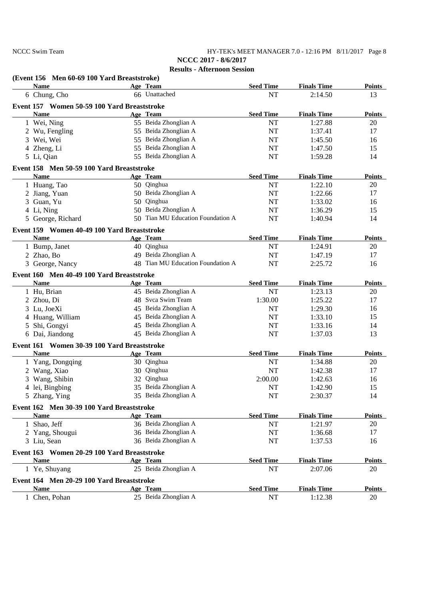NCCC Swim Team HY-TEK's MEET MANAGER 7.0 - 12:16 PM 8/11/2017 Page 8 **NCCC 2017 - 8/6/2017**

|   | (Event 156 Men 60-69 100 Yard Breaststroke)              |    |                                   |                  |                    |               |
|---|----------------------------------------------------------|----|-----------------------------------|------------------|--------------------|---------------|
|   | <b>Name</b>                                              |    | Age Team                          | <b>Seed Time</b> | <b>Finals Time</b> | Points        |
|   | 6 Chung, Cho                                             |    | 66 Unattached                     | NT               | 2:14.50            | 13            |
|   | Event 157 Women 50-59 100 Yard Breaststroke              |    |                                   |                  |                    |               |
|   | <b>Name</b>                                              |    | Age Team                          | <b>Seed Time</b> | <b>Finals Time</b> | <b>Points</b> |
|   | 1 Wei, Ning                                              |    | 55 Beida Zhonglian A              | NT               | 1:27.88            | 20            |
|   | 2 Wu, Fengling                                           |    | 55 Beida Zhonglian A              | <b>NT</b>        | 1:37.41            | 17            |
|   | 3 Wei, Wei                                               |    | 55 Beida Zhonglian A              | NT               | 1:45.50            | 16            |
|   | 4 Zheng, Li                                              |    | 55 Beida Zhonglian A              | NT               | 1:47.50            | 15            |
|   | 5 Li, Qian                                               |    | 55 Beida Zhonglian A              | NT               | 1:59.28            | 14            |
|   | Event 158 Men 50-59 100 Yard Breaststroke                |    |                                   |                  |                    |               |
|   | <b>Name</b>                                              |    | Age Team                          | <b>Seed Time</b> | <b>Finals Time</b> | <b>Points</b> |
|   | 1 Huang, Tao                                             |    | 50 Qinghua                        | <b>NT</b>        | 1:22.10            | 20            |
|   | 2 Jiang, Yuan                                            |    | 50 Beida Zhonglian A              | <b>NT</b>        | 1:22.66            | 17            |
|   | 3 Guan, Yu                                               |    | 50 Qinghua                        | NT               | 1:33.02            | 16            |
|   | 4 Li, Ning                                               |    | 50 Beida Zhonglian A              | NT               | 1:36.29            | 15            |
|   | 5 George, Richard                                        |    | 50 Tian MU Education Foundation A | <b>NT</b>        | 1:40.94            | 14            |
|   | Event 159 Women 40-49 100 Yard Breaststroke              |    |                                   |                  |                    |               |
|   | <b>Name</b>                                              |    | Age Team                          | <b>Seed Time</b> | <b>Finals Time</b> | <b>Points</b> |
|   | 1 Bump, Janet                                            |    | 40 Qinghua                        | NT               | 1:24.91            | 20            |
|   | 2 Zhao, Bo                                               |    | 49 Beida Zhonglian A              | <b>NT</b>        | 1:47.19            | 17            |
|   | 3 George, Nancy                                          |    | 48 Tian MU Education Foundation A | NT               | 2:25.72            | 16            |
|   |                                                          |    |                                   |                  |                    |               |
|   | Event 160 Men 40-49 100 Yard Breaststroke<br><b>Name</b> |    |                                   |                  |                    |               |
|   |                                                          |    | Age Team                          | <b>Seed Time</b> | <b>Finals Time</b> | <b>Points</b> |
|   | 1 Hu, Brian                                              |    | 45 Beida Zhonglian A              | <b>NT</b>        | 1:23.13            | 20            |
|   | 2 Zhou, Di                                               |    | 48 Svca Swim Team                 | 1:30.00          | 1:25.22            | 17            |
|   | 3 Lu, JoeXi                                              | 45 | Beida Zhonglian A                 | <b>NT</b>        | 1:29.30            | 16            |
|   | 4 Huang, William                                         | 45 | Beida Zhonglian A                 | <b>NT</b>        | 1:33.10            | 15            |
| 5 | Shi, Gongyi                                              | 45 | Beida Zhonglian A                 | <b>NT</b>        | 1:33.16            | 14            |
|   | 6 Dai, Jiandong                                          |    | 45 Beida Zhonglian A              | <b>NT</b>        | 1:37.03            | 13            |
|   | Event 161 Women 30-39 100 Yard Breaststroke              |    |                                   |                  |                    |               |
|   | <b>Name</b>                                              |    | Age Team                          | <b>Seed Time</b> | <b>Finals Time</b> | <b>Points</b> |
|   | 1 Yang, Dongqing                                         |    | 30 Qinghua                        | <b>NT</b>        | 1:34.88            | 20            |
|   | 2 Wang, Xiao                                             |    | 30 Qinghua                        | <b>NT</b>        | 1:42.38            | 17            |
|   | 3 Wang, Shibin                                           |    | 32 Qinghua                        | 2:00.00          | 1:42.63            | 16            |
|   | 4 lei, Bingbing                                          |    | 35 Beida Zhonglian A              | <b>NT</b>        | 1:42.90            | 15            |
|   | 5 Zhang, Ying                                            |    | 35 Beida Zhonglian A              | NT               | 2:30.37            | 14            |
|   | Event 162 Men 30-39 100 Yard Breaststroke                |    |                                   |                  |                    |               |
|   | <b>Name</b>                                              |    | Age Team                          | <b>Seed Time</b> | <b>Finals Time</b> | <b>Points</b> |
|   | 1 Shao, Jeff                                             |    | 36 Beida Zhonglian A              | NT               | 1:21.97            | 20            |
|   | 2 Yang, Shougui                                          |    | 36 Beida Zhonglian A              | NT               | 1:36.68            | 17            |
|   | 3 Liu, Sean                                              |    | 36 Beida Zhonglian A              | NT               | 1:37.53            | 16            |
|   | Event 163 Women 20-29 100 Yard Breaststroke              |    |                                   |                  |                    |               |
|   | <b>Name</b>                                              |    | Age Team                          | <b>Seed Time</b> | <b>Finals Time</b> | Points        |
|   | 1 Ye, Shuyang                                            |    | 25 Beida Zhonglian A              | NT               | 2:07.06            | 20            |
|   | Event 164 Men 20-29 100 Yard Breaststroke                |    |                                   |                  |                    |               |
|   | <b>Name</b>                                              |    | Age Team                          | <b>Seed Time</b> | <b>Finals Time</b> | <b>Points</b> |
|   | 1 Chen, Pohan                                            |    | 25 Beida Zhonglian A              | NT               | 1:12.38            | 20            |
|   |                                                          |    |                                   |                  |                    |               |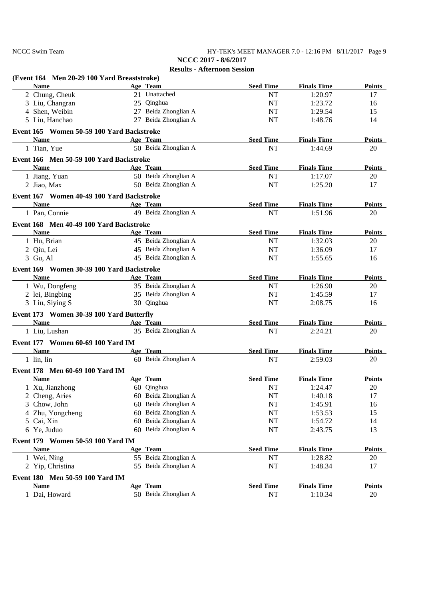NCCC Swim Team HY-TEK's MEET MANAGER 7.0 - 12:16 PM 8/11/2017 Page 9 **NCCC 2017 - 8/6/2017**

| (Event 164 Men 20-29 100 Yard Breaststroke)                                                                                                                                                                                   |                         |                  |                    |               |
|-------------------------------------------------------------------------------------------------------------------------------------------------------------------------------------------------------------------------------|-------------------------|------------------|--------------------|---------------|
| <b>Name</b>                                                                                                                                                                                                                   | Age Team                | <b>Seed Time</b> | <b>Finals Time</b> | <b>Points</b> |
| 2 Chung, Cheuk                                                                                                                                                                                                                | 21 Unattached           | <b>NT</b>        | 1:20.97            | 17            |
| 3 Liu, Changran                                                                                                                                                                                                               | 25 Qinghua              | NT               | 1:23.72            | 16            |
| 4 Shen, Weibin                                                                                                                                                                                                                | 27 Beida Zhonglian A    | NT               | 1:29.54            | 15            |
| 5 Liu, Hanchao                                                                                                                                                                                                                | 27 Beida Zhonglian A    | NT               | 1:48.76            | 14            |
| Event 165 Women 50-59 100 Yard Backstroke                                                                                                                                                                                     |                         |                  |                    |               |
| <b>Name</b>                                                                                                                                                                                                                   | Age Team                | <b>Seed Time</b> | <b>Finals Time</b> | <b>Points</b> |
| 1 Tian, Yue                                                                                                                                                                                                                   | 50 Beida Zhonglian A    | <b>NT</b>        | 1:44.69            | 20            |
| Event 166 Men 50-59 100 Yard Backstroke                                                                                                                                                                                       |                         |                  |                    |               |
| <b>Name</b>                                                                                                                                                                                                                   | Age Team                | <b>Seed Time</b> | <b>Finals Time</b> | <b>Points</b> |
| 1 Jiang, Yuan                                                                                                                                                                                                                 | 50 Beida Zhonglian A    | $\rm{NT}$        | 1:17.07            | 20            |
| 2 Jiao, Max                                                                                                                                                                                                                   | 50 Beida Zhonglian A    | <b>NT</b>        | 1:25.20            | 17            |
| Event 167 Women 40-49 100 Yard Backstroke                                                                                                                                                                                     |                         |                  |                    |               |
| <b>Name</b><br><u> 1980 - Johann Barbara, martxa al</u>                                                                                                                                                                       | Age Team                | <b>Seed Time</b> | <b>Finals Time</b> | <b>Points</b> |
| 1 Pan, Connie                                                                                                                                                                                                                 | 49 Beida Zhonglian A    | NT               | 1:51.96            | 20            |
| Event 168 Men 40-49 100 Yard Backstroke                                                                                                                                                                                       |                         |                  |                    |               |
| <b>Name</b>                                                                                                                                                                                                                   | Age Team                | <b>Seed Time</b> | <b>Finals Time</b> | <b>Points</b> |
| 1 Hu, Brian                                                                                                                                                                                                                   | 45 Beida Zhonglian A    | NT               | 1:32.03            | 20            |
| 2 Qiu, Lei                                                                                                                                                                                                                    | 45 Beida Zhonglian A    | NT               | 1:36.09            | 17            |
| 3 Gu, Al                                                                                                                                                                                                                      | 45 Beida Zhonglian A    | NT               | 1:55.65            | 16            |
| Event 169 Women 30-39 100 Yard Backstroke                                                                                                                                                                                     |                         |                  |                    |               |
| <b>Name</b>                                                                                                                                                                                                                   | Age Team                | <b>Seed Time</b> | <b>Finals Time</b> | <b>Points</b> |
| 1 Wu, Dongfeng                                                                                                                                                                                                                | 35 Beida Zhonglian A    | NT               | 1:26.90            | 20            |
| 2 lei, Bingbing                                                                                                                                                                                                               | 35 Beida Zhonglian A    | NT               | 1:45.59            | 17            |
| 3 Liu, Siying S                                                                                                                                                                                                               | 30 Qinghua              | NT               | 2:08.75            | 16            |
| Event 173 Women 30-39 100 Yard Butterfly                                                                                                                                                                                      |                         |                  |                    |               |
| <b>Name</b>                                                                                                                                                                                                                   | Age Team                | <b>Seed Time</b> | <b>Finals Time</b> | Points        |
| 1 Liu, Lushan                                                                                                                                                                                                                 | 35 Beida Zhonglian A    | NT               | 2:24.21            | 20            |
| Event 177 Women 60-69 100 Yard IM                                                                                                                                                                                             |                         |                  |                    |               |
| Name and the same state of the state of the state of the state of the state of the state of the state of the state of the state of the state of the state of the state of the state of the state of the state of the state of | Age Team                | <b>Seed Time</b> | <b>Finals Time</b> | <b>Points</b> |
| $1$ lin, lin                                                                                                                                                                                                                  | 60 Beida Zhonglian A    | <b>NT</b>        | 2:59.03            | 20            |
| Event 178 Men 60-69 100 Yard IM                                                                                                                                                                                               |                         |                  |                    |               |
| <b>Name</b>                                                                                                                                                                                                                   | Age Team                | <b>Seed Time</b> | <b>Finals Time</b> | <b>Points</b> |
| 1 Xu, Jianzhong                                                                                                                                                                                                               | 60 Qinghua              | <b>NT</b>        | 1:24.47            | 20            |
| 2 Cheng, Aries                                                                                                                                                                                                                | 60 Beida Zhonglian A    | $\rm{NT}$        | 1:40.18            | 17            |
| Chow, John<br>3                                                                                                                                                                                                               | 60 Beida Zhonglian A    | NT               | 1:45.91            | 16            |
| 4 Zhu, Yongcheng                                                                                                                                                                                                              | Beida Zhonglian A<br>60 | NT               | 1:53.53            | 15            |
| 5 Cai, Xin                                                                                                                                                                                                                    | Beida Zhonglian A<br>60 | NT               | 1:54.72            | 14            |
| 6 Ye, Juduo                                                                                                                                                                                                                   | Beida Zhonglian A<br>60 | NT               | 2:43.75            | 13            |
| Event 179 Women 50-59 100 Yard IM                                                                                                                                                                                             |                         |                  |                    |               |
| <b>Name</b>                                                                                                                                                                                                                   | Age Team                | <b>Seed Time</b> | <b>Finals Time</b> | <b>Points</b> |
| 1 Wei, Ning                                                                                                                                                                                                                   | 55 Beida Zhonglian A    | NT               | 1:28.82            | 20            |
| 2 Yip, Christina                                                                                                                                                                                                              | 55 Beida Zhonglian A    | NT               | 1:48.34            | 17            |
|                                                                                                                                                                                                                               |                         |                  |                    |               |
| Event 180 Men 50-59 100 Yard IM                                                                                                                                                                                               |                         |                  |                    |               |
| <b>Name</b>                                                                                                                                                                                                                   | Age Team                | <b>Seed Time</b> | <b>Finals Time</b> | <b>Points</b> |
| 1 Dai, Howard                                                                                                                                                                                                                 | 50 Beida Zhonglian A    | NT               | 1:10.34            | 20            |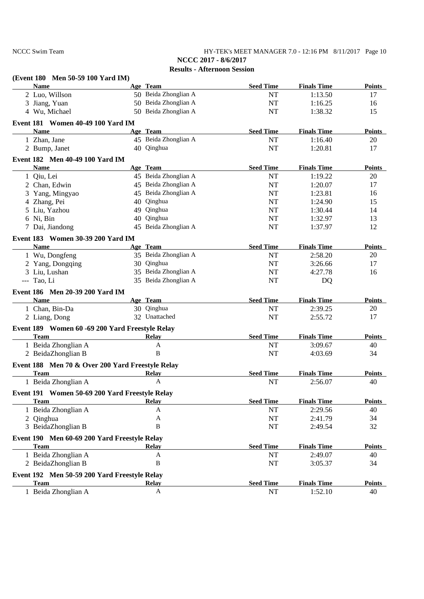NCCC Swim Team **HY-TEK's MEET MANAGER 7.0 - 12:16 PM** 8/11/2017 Page 10 **NCCC 2017 - 8/6/2017**

| (Event 180 Men 50-59 100 Yard IM)                |                      |                  |                    |               |
|--------------------------------------------------|----------------------|------------------|--------------------|---------------|
| <b>Name</b>                                      | Age Team             | <b>Seed Time</b> | <b>Finals Time</b> | <b>Points</b> |
| 2 Luo, Willson                                   | 50 Beida Zhonglian A | $\rm{NT}$        | 1:13.50            | 17            |
| 3 Jiang, Yuan                                    | 50 Beida Zhonglian A | $\rm{NT}$        | 1:16.25            | 16            |
| 4 Wu, Michael                                    | 50 Beida Zhonglian A | NT               | 1:38.32            | 15            |
| Event 181 Women 40-49 100 Yard IM                |                      |                  |                    |               |
| <b>Name</b>                                      | Age Team             | <b>Seed Time</b> | <b>Finals Time</b> | <b>Points</b> |
| 1 Zhan, Jane                                     | 45 Beida Zhonglian A | NT               | 1:16.40            | 20            |
| 2 Bump, Janet                                    | 40 Qinghua           | NT               | 1:20.81            | 17            |
| Event 182 Men 40-49 100 Yard IM                  |                      |                  |                    |               |
| <b>Name</b>                                      | Age Team             | <b>Seed Time</b> | <b>Finals Time</b> | <b>Points</b> |
| 1 Qiu, Lei                                       | 45 Beida Zhonglian A | NT               | 1:19.22            | 20            |
| 2 Chan, Edwin                                    | 45 Beida Zhonglian A | NT               | 1:20.07            | 17            |
| 3 Yang, Mingyao                                  | 45 Beida Zhonglian A | NT               | 1:23.81            | 16            |
| 4 Zhang, Pei                                     | 40 Qinghua           | NT               | 1:24.90            | 15            |
| 5 Liu, Yazhou                                    | 49 Qinghua           | NT               | 1:30.44            | 14            |
| 6 Ni, Bin                                        | 40 Qinghua           | NT               | 1:32.97            | 13            |
| 7 Dai, Jiandong                                  | 45 Beida Zhonglian A | NT               | 1:37.97            | 12            |
| Event 183 Women 30-39 200 Yard IM                |                      |                  |                    |               |
| <b>Name</b>                                      | Age Team             | <b>Seed Time</b> | <b>Finals Time</b> | <b>Points</b> |
| 1 Wu, Dongfeng                                   | 35 Beida Zhonglian A | NT               | 2:58.20            | 20            |
|                                                  | 30 Qinghua           |                  |                    | 17            |
| 2 Yang, Dongqing                                 |                      | <b>NT</b>        | 3:26.66            |               |
| 3 Liu, Lushan                                    | 35 Beida Zhonglian A | $\rm{NT}$        | 4:27.78            | 16            |
| --- Tao, Li                                      | 35 Beida Zhonglian A | <b>NT</b>        | DQ                 |               |
| Event 186 Men 20-39 200 Yard IM                  |                      |                  |                    |               |
| <b>Name</b>                                      | Age Team             | <b>Seed Time</b> | <b>Finals Time</b> | <b>Points</b> |
| 1 Chan, Bin-Da                                   | 30 Qinghua           | NT               | 2:39.25            | 20            |
| 2 Liang, Dong                                    | 32 Unattached        | <b>NT</b>        | 2:55.72            | 17            |
| Event 189 Women 60 -69 200 Yard Freestyle Relay  |                      |                  |                    |               |
| <b>Team</b>                                      | Relay                | <b>Seed Time</b> | <b>Finals Time</b> | <b>Points</b> |
| 1 Beida Zhonglian A                              | A                    | <b>NT</b>        | 3:09.67            | 40            |
| 2 BeidaZhonglian B                               | B                    | <b>NT</b>        | 4:03.69            | 34            |
| Event 188 Men 70 & Over 200 Yard Freestyle Relay |                      |                  |                    |               |
| <b>Team</b>                                      | <b>Relay</b>         | <b>Seed Time</b> | <b>Finals Time</b> | <b>Points</b> |
| 1 Beida Zhonglian A                              | A                    | <b>NT</b>        | 2:56.07            | 40            |
|                                                  |                      |                  |                    |               |
| Event 191 Women 50-69 200 Yard Freestyle Relay   |                      |                  |                    |               |
| <b>Team</b>                                      | <b>Relay</b>         | <b>Seed Time</b> | <b>Finals Time</b> | <b>Points</b> |
| 1 Beida Zhonglian A                              | A                    | NT               | 2:29.56            | 40            |
| 2 Qinghua                                        | A                    | NT               | 2:41.79            | 34            |
| 3 BeidaZhonglian B                               | B                    | NT               | 2:49.54            | 32            |
| Event 190 Men 60-69 200 Yard Freestyle Relay     |                      |                  |                    |               |
| <b>Team</b>                                      | <b>Relay</b>         | <b>Seed Time</b> | <b>Finals Time</b> | <b>Points</b> |
| 1 Beida Zhonglian A                              | A                    | NT               | 2:49.07            | 40            |
| 2 BeidaZhonglian B                               | $\, {\bf B}$         | NT               | 3:05.37            | 34            |
| Event 192 Men 50-59 200 Yard Freestyle Relay     |                      |                  |                    |               |
| <b>Team</b>                                      | <b>Relay</b>         | <b>Seed Time</b> | <b>Finals Time</b> | <b>Points</b> |
| 1 Beida Zhonglian A                              | A                    | NT               | 1:52.10            | 40            |
|                                                  |                      |                  |                    |               |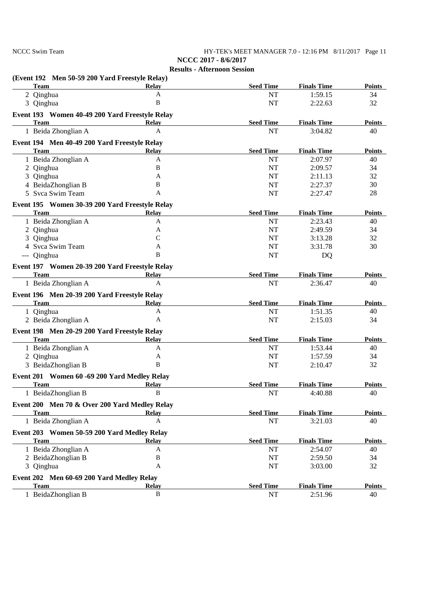NCCC Swim Team **HY-TEK's MEET MANAGER 7.0 - 12:16 PM** 8/11/2017 Page 11

**NCCC 2017 - 8/6/2017 Results - Afternoon Session**

| (Event 192 Men 50-59 200 Yard Freestyle Relay)                |              |                  |                    |               |
|---------------------------------------------------------------|--------------|------------------|--------------------|---------------|
| <b>Team</b>                                                   | <b>Relay</b> | <b>Seed Time</b> | <b>Finals Time</b> | <b>Points</b> |
| 2 Qinghua                                                     | $\mathbf{A}$ | <b>NT</b>        | 1:59.15            | 34            |
| 3 Qinghua                                                     | $\bf{B}$     | <b>NT</b>        | 2:22.63            | 32            |
| Event 193 Women 40-49 200 Yard Freestyle Relay                |              |                  |                    |               |
| <b>Team</b>                                                   | <b>Relay</b> | <b>Seed Time</b> | <b>Finals Time</b> | <b>Points</b> |
| 1 Beida Zhonglian A                                           | A            | <b>NT</b>        | 3:04.82            | 40            |
| Event 194 Men 40-49 200 Yard Freestyle Relay                  |              |                  |                    |               |
| <b>Team</b>                                                   | <b>Relay</b> | <b>Seed Time</b> | <b>Finals Time</b> | <b>Points</b> |
| 1 Beida Zhonglian A                                           | $\mathbf{A}$ | <b>NT</b>        | 2:07.97            | 40            |
| 2 Qinghua                                                     | B            | <b>NT</b>        | 2:09.57            | 34            |
| 3 Qinghua                                                     | A            | <b>NT</b>        | 2:11.13            | 32            |
| 4 BeidaZhonglian B                                            | B            | <b>NT</b>        | 2:27.37            | 30            |
| 5 Svca Swim Team                                              | A            | <b>NT</b>        | 2:27.47            | 28            |
| Event 195 Women 30-39 200 Yard Freestyle Relay                |              |                  |                    |               |
| <b>Team</b>                                                   | <b>Relay</b> | <b>Seed Time</b> | <b>Finals Time</b> | <b>Points</b> |
| 1 Beida Zhonglian A                                           | A            | NT               | 2:23.43            | 40            |
| 2 Qinghua                                                     | A            | <b>NT</b>        | 2:49.59            | 34            |
| 3 Qinghua                                                     | $\mathsf{C}$ | <b>NT</b>        | 3:13.28            | 32            |
| 4 Svca Swim Team                                              | A            | NT               | 3:31.78            | 30            |
| --- Qinghua                                                   | B            | <b>NT</b>        | DQ                 |               |
|                                                               |              |                  |                    |               |
| Event 197 Women 20-39 200 Yard Freestyle Relay<br><b>Team</b> | <b>Relay</b> | <b>Seed Time</b> | <b>Finals Time</b> | <b>Points</b> |
| 1 Beida Zhonglian A                                           | A            | <b>NT</b>        | 2:36.47            | 40            |
|                                                               |              |                  |                    |               |
| Event 196 Men 20-39 200 Yard Freestyle Relay                  |              |                  |                    |               |
| <b>Team</b>                                                   | <b>Relay</b> | <b>Seed Time</b> | <b>Finals Time</b> | <b>Points</b> |
| 1 Qinghua                                                     | A            | <b>NT</b>        | 1:51.35            | 40            |
| 2 Beida Zhonglian A                                           | A            | <b>NT</b>        | 2:15.03            | 34            |
| Event 198 Men 20-29 200 Yard Freestyle Relay                  |              |                  |                    |               |
| <b>Team</b>                                                   | Relay        | <b>Seed Time</b> | <b>Finals Time</b> | <b>Points</b> |
| 1 Beida Zhonglian A                                           | A            | NT               | 1:53.44            | 40            |
| 2 Qinghua                                                     | A            | <b>NT</b>        | 1:57.59            | 34            |
| 3 BeidaZhonglian B                                            | B            | <b>NT</b>        | 2:10.47            | 32            |
| Event 201 Women 60 -69 200 Yard Medley Relay                  |              |                  |                    |               |
| <b>Team</b>                                                   | <b>Relay</b> | <b>Seed Time</b> | <b>Finals Time</b> | <b>Points</b> |
| 1 BeidaZhonglian B                                            | $\mathbf{R}$ | $\rm{NT}$        | 4:40.88            | 40            |
| Event 200 Men 70 & Over 200 Yard Medley Relay                 |              |                  |                    |               |
| <b>Team</b>                                                   | Relay        | <b>Seed Time</b> | <b>Finals Time</b> | <b>Points</b> |
| 1 Beida Zhonglian A                                           | A            | $\rm{NT}$        | 3:21.03            | 40            |
|                                                               |              |                  |                    |               |
| Event 203 Women 50-59 200 Yard Medley Relay                   |              |                  |                    |               |
| <b>Team</b>                                                   | <b>Relay</b> | <b>Seed Time</b> | <b>Finals Time</b> | <b>Points</b> |
| 1 Beida Zhonglian A                                           | A            | NT               | 2:54.07            | 40            |
| 2 BeidaZhonglian B                                            | $\bf{B}$     | NT               | 2:59.50            | 34            |
| 3 Qinghua                                                     | A            | NT               | 3:03.00            | 32            |
| Event 202 Men 60-69 200 Yard Medley Relay                     |              |                  |                    |               |
| <b>Team</b>                                                   | <b>Relay</b> | <b>Seed Time</b> | <b>Finals Time</b> | <b>Points</b> |
| 1 BeidaZhonglian B                                            | $\, {\bf B}$ | NT               | 2:51.96            | 40            |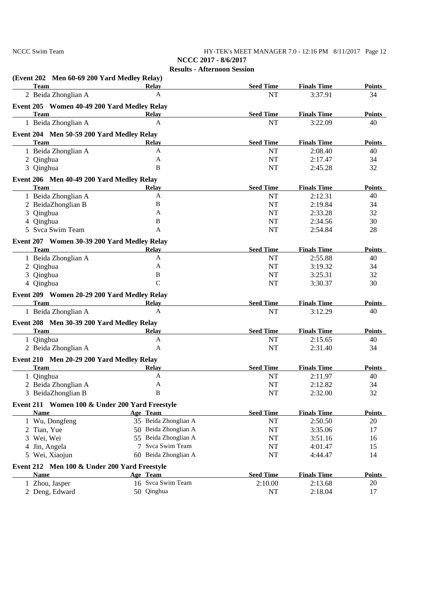### NCCC Swim Team **HY-TEK's MEET MANAGER 7.0 - 12:16 PM** 8/11/2017 Page 12 **NCCC 2017 - 8/6/2017**

| (Event 202 Men 60-69 200 Yard Medley Relay)    |                      |                  |                    |               |
|------------------------------------------------|----------------------|------------------|--------------------|---------------|
| <b>Team</b>                                    | <b>Relay</b>         | <b>Seed Time</b> | <b>Finals Time</b> | <b>Points</b> |
| 2 Beida Zhonglian A                            | A                    | <b>NT</b>        | 3:37.91            | 34            |
| Event 205 Women 40-49 200 Yard Medley Relay    |                      |                  |                    |               |
| <b>Team</b>                                    | Relay                | <b>Seed Time</b> | <b>Finals Time</b> | <b>Points</b> |
| 1 Beida Zhonglian A                            | A                    | <b>NT</b>        | 3:22.09            | 40            |
| Event 204 Men 50-59 200 Yard Medley Relay      |                      |                  |                    |               |
| <b>Team</b>                                    | <b>Relay</b>         | <b>Seed Time</b> | <b>Finals Time</b> | <b>Points</b> |
| 1 Beida Zhonglian A                            | A                    | <b>NT</b>        | 2:08.40            | 40            |
| 2 Qinghua                                      | A                    | <b>NT</b>        | 2:17.47            | 34            |
| 3 Qinghua                                      | B                    | <b>NT</b>        | 2:45.28            | 32            |
| Event 206 Men 40-49 200 Yard Medley Relay      |                      |                  |                    |               |
| <b>Team</b>                                    | <b>Relay</b>         | <b>Seed Time</b> | <b>Finals Time</b> | <b>Points</b> |
| 1 Beida Zhonglian A                            | A                    | <b>NT</b>        | 2:12.31            | 40            |
| 2 BeidaZhonglian B                             | B                    | <b>NT</b>        | 2:19.84            | 34            |
| 3 Qinghua                                      | A                    | <b>NT</b>        | 2:33.28            | 32            |
| 4 Qinghua                                      | B                    | <b>NT</b>        | 2:34.56            | 30            |
| 5 Svca Swim Team                               | A                    | <b>NT</b>        | 2:54.84            | 28            |
|                                                |                      |                  |                    |               |
| Event 207 Women 30-39 200 Yard Medley Relay    |                      |                  |                    |               |
| <b>Team</b>                                    | <b>Relay</b>         | <b>Seed Time</b> | <b>Finals Time</b> | <b>Points</b> |
| 1 Beida Zhonglian A                            | A                    | <b>NT</b>        | 2:55.88            | 40            |
| 2 Qinghua                                      | A                    | <b>NT</b>        | 3:19.32            | 34            |
| 3 Qinghua                                      | $\bf{B}$             | NT               | 3:25.31            | 32            |
| 4 Qinghua                                      | $\mathcal{C}$        | <b>NT</b>        | 3:30.37            | 30            |
| Event 209 Women 20-29 200 Yard Medley Relay    |                      |                  |                    |               |
| <b>Team</b>                                    | <b>Relay</b>         | <b>Seed Time</b> | <b>Finals Time</b> | <b>Points</b> |
| 1 Beida Zhonglian A                            | A                    | NT               | 3:12.29            | 40            |
| Event 208 Men 30-39 200 Yard Medley Relay      |                      |                  |                    |               |
| <b>Team</b>                                    | Relay                | <b>Seed Time</b> | <b>Finals Time</b> | <b>Points</b> |
| 1 Qinghua                                      | A                    | NT               | 2:15.65            | 40            |
| 2 Beida Zhonglian A                            | A                    | <b>NT</b>        | 2:31.40            | 34            |
|                                                |                      |                  |                    |               |
| Event 210 Men 20-29 200 Yard Medley Relay      |                      |                  |                    |               |
| <b>Team</b>                                    | <b>Relay</b>         | <b>Seed Time</b> | <b>Finals Time</b> | <b>Points</b> |
| 1 Qinghua                                      | A                    | NT               | 2:11.97            | 40            |
| 2 Beida Zhonglian A                            | A                    | <b>NT</b>        | 2:12.82            | 34            |
| 3 BeidaZhonglian B                             | $\mathbf{R}$         | $\rm{NT}$        | 2:32.00            | 32            |
| Event 211 Women 100 & Under 200 Yard Freestyle |                      |                  |                    |               |
| <b>Name</b>                                    | Age Team             | <b>Seed Time</b> | <b>Finals Time</b> | <b>Points</b> |
| 1 Wu, Dongfeng                                 | 35 Beida Zhonglian A | NT               | 2:50.50            | 20            |
| 2 Tian, Yue                                    | 50 Beida Zhonglian A | NT               | 3:35.06            | 17            |
| 3 Wei, Wei                                     | 55 Beida Zhonglian A | NT               | 3:51.16            | 16            |
| 4 Jin, Angela                                  | 7 Svca Swim Team     | $\rm{NT}$        | 4:01.47            | 15            |
| 5 Wei, Xiaojun                                 | 60 Beida Zhonglian A | <b>NT</b>        | 4:44.47            | 14            |
|                                                |                      |                  |                    |               |
| Event 212 Men 100 & Under 200 Yard Freestyle   |                      |                  |                    |               |
| <b>Name</b>                                    | Age Team             | <b>Seed Time</b> | <b>Finals Time</b> | <b>Points</b> |
| 1 Zhou, Jasper                                 | 16 Svca Swim Team    | 2:10.00          | 2:13.68            | 20            |
| 2 Deng, Edward                                 | 50 Qinghua           | NT               | 2:18.04            | 17            |